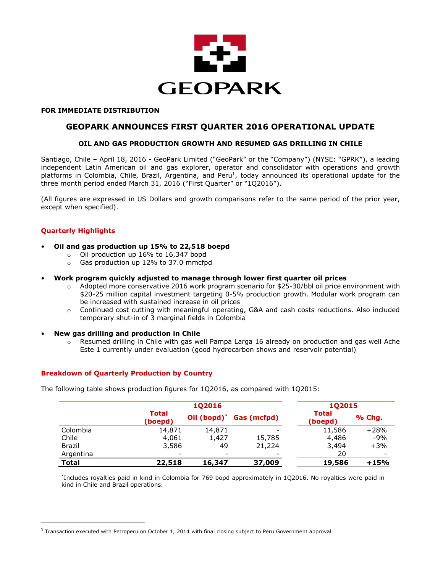

#### **FOR IMMEDIATE DISTRIBUTION**

# **GEOPARK ANNOUNCES FIRST QUARTER 2016 OPERATIONAL UPDATE**

## **OIL AND GAS PRODUCTION GROWTH AND RESUMED GAS DRILLING IN CHILE**

Santiago, Chile – April 18, 2016 - GeoPark Limited ("GeoPark" or the "Company") (NYSE: "GPRK"), a leading independent Latin American oil and gas explorer, operator and consolidator with operations and growth platforms in Colombia, Chile, Brazil, Argentina, and Peru<sup>1</sup>, today announced its operational update for the three month period ended March 31, 2016 ("First Quarter" or "1Q2016").

(All figures are expressed in US Dollars and growth comparisons refer to the same period of the prior year, except when specified).

## **Quarterly Highlights**

l

- **Oil and gas production up 15% to 22,518 boepd**
	- o Oil production up 16% to 16,347 bopd
	- o Gas production up 12% to 37.0 mmcfpd
- **Work program quickly adjusted to manage through lower first quarter oil prices**
	- $\circ$  Adopted more conservative 2016 work program scenario for \$25-30/bbl oil price environment with \$20-25 million capital investment targeting 0-5% production growth. Modular work program can be increased with sustained increase in oil prices
	- o Continued cost cutting with meaningful operating, G&A and cash costs reductions. Also included temporary shut-in of 3 marginal fields in Colombia
- **New gas drilling and production in Chile**
	- $\circ$  Resumed drilling in Chile with gas well Pampa Larga 16 already on production and gas well Ache Este 1 currently under evaluation (good hydrocarbon shows and reservoir potential)

## **Breakdown of Quarterly Production by Country**

The following table shows production figures for 1Q2016, as compared with 1Q2015:

|               | 102016                  |             |             |                         | <b>1Q2015</b>            |  |
|---------------|-------------------------|-------------|-------------|-------------------------|--------------------------|--|
|               | <b>Total</b><br>(boepd) | Oil (bopd)* | Gas (mcfpd) | <b>Total</b><br>(boepd) | % Chg.                   |  |
| Colombia      | 14,871                  | 14,871      |             | 11,586                  | $+28%$                   |  |
| Chile         | 4,061                   | 1,427       | 15,785      | 4,486                   | $-9%$                    |  |
| <b>Brazil</b> | 3,586                   | 49          | 21,224      | 3,494                   | $+3%$                    |  |
| Argentina     |                         | -           |             | 20                      | $\overline{\phantom{a}}$ |  |
| <b>Total</b>  | 22,518                  | 16,347      | 37,009      | 19,586                  | $+15%$                   |  |

\* Includes royalties paid in kind in Colombia for 769 bopd approximately in 1Q2016. No royalties were paid in kind in Chile and Brazil operations.

 $^1$  Transaction executed with Petroperu on October 1, 2014 with final closing subject to Peru Government approval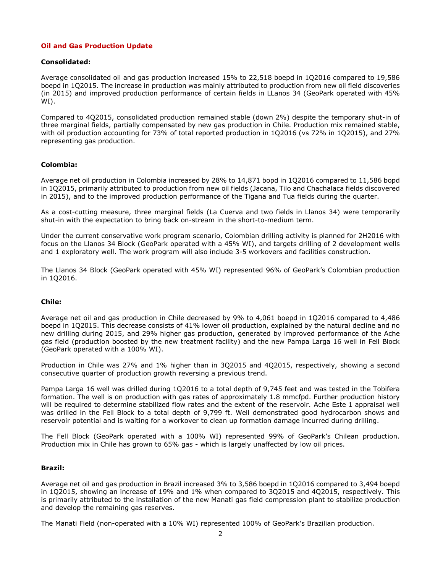## **Oil and Gas Production Update**

## **Consolidated:**

Average consolidated oil and gas production increased 15% to 22,518 boepd in 1Q2016 compared to 19,586 boepd in 1Q2015. The increase in production was mainly attributed to production from new oil field discoveries (in 2015) and improved production performance of certain fields in LLanos 34 (GeoPark operated with 45% WI).

Compared to 4Q2015, consolidated production remained stable (down 2%) despite the temporary shut-in of three marginal fields, partially compensated by new gas production in Chile. Production mix remained stable, with oil production accounting for 73% of total reported production in 1Q2016 (vs 72% in 1Q2015), and 27% representing gas production.

## **Colombia:**

Average net oil production in Colombia increased by 28% to 14,871 bopd in 1Q2016 compared to 11,586 bopd in 1Q2015, primarily attributed to production from new oil fields (Jacana, Tilo and Chachalaca fields discovered in 2015), and to the improved production performance of the Tigana and Tua fields during the quarter.

As a cost-cutting measure, three marginal fields (La Cuerva and two fields in Llanos 34) were temporarily shut-in with the expectation to bring back on-stream in the short-to-medium term.

Under the current conservative work program scenario, Colombian drilling activity is planned for 2H2016 with focus on the Llanos 34 Block (GeoPark operated with a 45% WI), and targets drilling of 2 development wells and 1 exploratory well. The work program will also include 3-5 workovers and facilities construction.

The Llanos 34 Block (GeoPark operated with 45% WI) represented 96% of GeoPark's Colombian production in 1Q2016.

#### **Chile:**

Average net oil and gas production in Chile decreased by 9% to 4,061 boepd in 1Q2016 compared to 4,486 boepd in 1Q2015. This decrease consists of 41% lower oil production, explained by the natural decline and no new drilling during 2015, and 29% higher gas production, generated by improved performance of the Ache gas field (production boosted by the new treatment facility) and the new Pampa Larga 16 well in Fell Block (GeoPark operated with a 100% WI).

Production in Chile was 27% and 1% higher than in 3Q2015 and 4Q2015, respectively, showing a second consecutive quarter of production growth reversing a previous trend.

Pampa Larga 16 well was drilled during 1Q2016 to a total depth of 9,745 feet and was tested in the Tobifera formation. The well is on production with gas rates of approximately 1.8 mmcfpd. Further production history will be required to determine stabilized flow rates and the extent of the reservoir. Ache Este 1 appraisal well was drilled in the Fell Block to a total depth of 9,799 ft. Well demonstrated good hydrocarbon shows and reservoir potential and is waiting for a workover to clean up formation damage incurred during drilling.

The Fell Block (GeoPark operated with a 100% WI) represented 99% of GeoPark's Chilean production. Production mix in Chile has grown to 65% gas - which is largely unaffected by low oil prices.

#### **Brazil:**

Average net oil and gas production in Brazil increased 3% to 3,586 boepd in 1Q2016 compared to 3,494 boepd in 1Q2015, showing an increase of 19% and 1% when compared to 3Q2015 and 4Q2015, respectively. This is primarily attributed to the installation of the new Manati gas field compression plant to stabilize production and develop the remaining gas reserves.

The Manati Field (non-operated with a 10% WI) represented 100% of GeoPark's Brazilian production.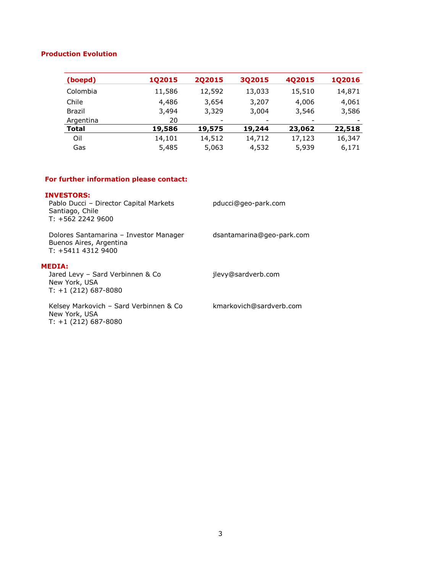## **Production Evolution**

| (boepd)       | 1Q2015 | 202015 | 3Q2015 | 4Q2015 | <b>1Q2016</b> |
|---------------|--------|--------|--------|--------|---------------|
| Colombia      | 11,586 | 12,592 | 13,033 | 15,510 | 14,871        |
| Chile         | 4,486  | 3,654  | 3,207  | 4,006  | 4,061         |
| <b>Brazil</b> | 3,494  | 3,329  | 3,004  | 3,546  | 3,586         |
| Argentina     | 20     |        |        |        |               |
| <b>Total</b>  | 19,586 | 19,575 | 19,244 | 23,062 | 22,518        |
| Oil           | 14,101 | 14,512 | 14,712 | 17,123 | 16,347        |
| Gas           | 5,485  | 5,063  | 4,532  | 5,939  | 6,171         |

# **For further information please contact:**

## **INVESTORS:**

| <b>INVESTORS:</b><br>Pablo Ducci - Director Capital Markets<br>Santiago, Chile<br>$T: +56222429600$ | pducci@geo-park.com       |
|-----------------------------------------------------------------------------------------------------|---------------------------|
| Dolores Santamarina - Investor Manager<br>Buenos Aires, Argentina<br>$T: +541143129400$             | dsantamarina@geo-park.com |
| <b>MEDIA:</b><br>Jared Levy - Sard Verbinnen & Co<br>New York, USA<br>$T: +1(212) 687-8080$         | jlevy@sardverb.com        |
| Kelsey Markovich – Sard Verbinnen & Co<br>New York, USA<br>$T: +1(212) 687-8080$                    | kmarkovich@sardverb.com   |